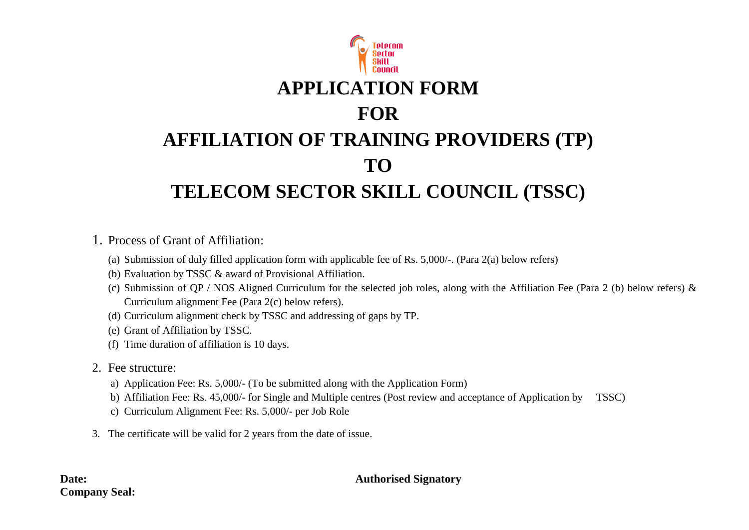

1. Process of Grant of Affiliation:

- (a) Submission of duly filled application form with applicable fee of Rs. 5,000/-. (Para 2(a) below refers)
- (b) Evaluation by TSSC & award of Provisional Affiliation.
- (c) Submission of QP / NOS Aligned Curriculum for the selected job roles, along with the Affiliation Fee (Para 2 (b) below refers) & Curriculum alignment Fee (Para 2(c) below refers).
- (d) Curriculum alignment check by TSSC and addressing of gaps by TP.
- (e) Grant of Affiliation by TSSC.
- (f) Time duration of affiliation is 10 days.
- 2. Fee structure:
	- a) Application Fee: Rs. 5,000/- (To be submitted along with the Application Form)
	- b) Affiliation Fee: Rs. 45,000/- for Single and Multiple centres (Post review and acceptance of Application by TSSC)
	- c) Curriculum Alignment Fee: Rs. 5,000/- per Job Role
- 3. The certificate will be valid for 2 years from the date of issue.

#### **Date: Authorised Signatory**

# **Company Seal:**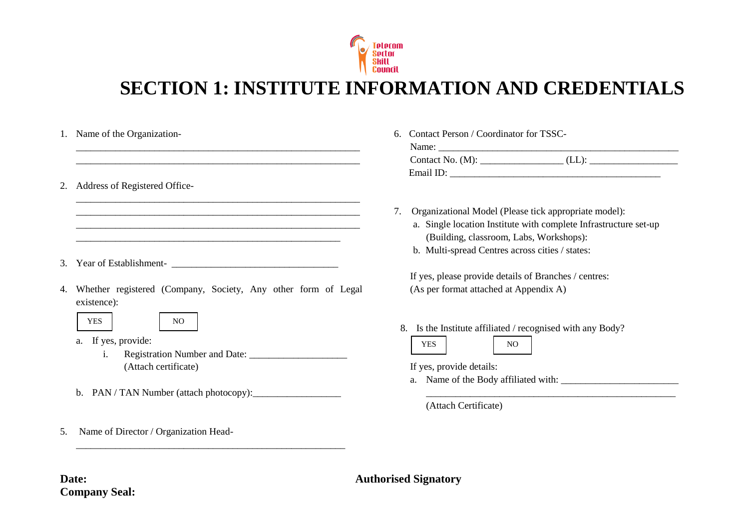

# **SECTION 1: INSTITUTE INFORMATION AND CREDENTIALS**

|    | 1. Name of the Organization-                                                                                                                                                         | Contact Person / Coordinator for TSSC-<br>6.                                                                                                                                                                                  |
|----|--------------------------------------------------------------------------------------------------------------------------------------------------------------------------------------|-------------------------------------------------------------------------------------------------------------------------------------------------------------------------------------------------------------------------------|
| 2. | Address of Registered Office-                                                                                                                                                        |                                                                                                                                                                                                                               |
| 3. | <u> 1989 - Johann Stoff, deutscher Stoff, der Stoff, der Stoff, der Stoff, der Stoff, der Stoff, der Stoff, der S</u><br>Year of Establishment-<br><u> Learner and Establishment</u> | Organizational Model (Please tick appropriate model):<br>7.<br>a. Single location Institute with complete Infrastructure set-up<br>(Building, classroom, Labs, Workshops):<br>b. Multi-spread Centres across cities / states: |
|    |                                                                                                                                                                                      | If yes, please provide details of Branches / centres:                                                                                                                                                                         |
| 4. | Whether registered (Company, Society, Any other form of Legal<br>existence):                                                                                                         | (As per format attached at Appendix A)                                                                                                                                                                                        |
|    | <b>YES</b><br>NO.<br>a. If yes, provide:<br>1.                                                                                                                                       | 8. Is the Institute affiliated / recognised with any Body?<br><b>YES</b><br>NO                                                                                                                                                |
|    | (Attach certificate)                                                                                                                                                                 | If yes, provide details:                                                                                                                                                                                                      |
|    | b. PAN / TAN Number (attach photocopy):                                                                                                                                              |                                                                                                                                                                                                                               |

5. Name of Director / Organization Head-

\_\_\_\_\_\_\_\_\_\_\_\_\_\_\_\_\_\_\_\_\_\_\_\_\_\_\_\_\_\_\_\_\_\_\_\_\_\_\_\_\_\_\_\_\_\_\_\_\_\_\_\_\_\_\_

**Date: Authorised Signatory** 

(Attach Certificate)

**Company Seal:**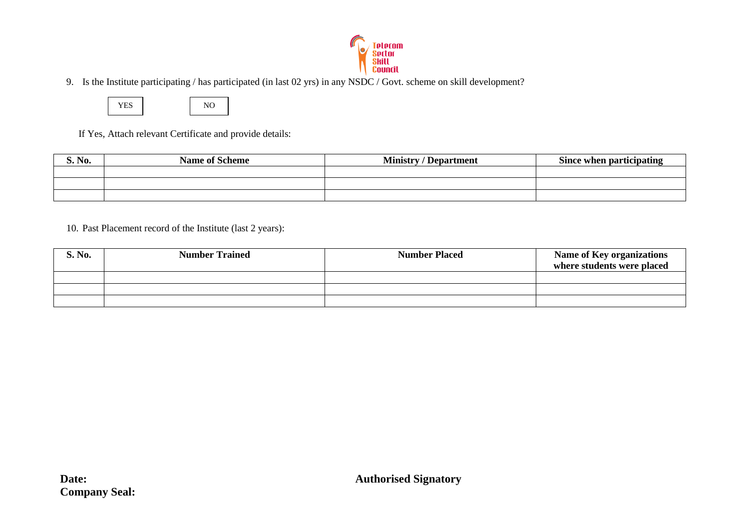

9. Is the Institute participating / has participated (in last 02 yrs) in any NSDC / Govt. scheme on skill development?



If Yes, Attach relevant Certificate and provide details:

| S. No. | <b>Name of Scheme</b> | <b>Ministry / Department</b> | Since when participating |
|--------|-----------------------|------------------------------|--------------------------|
|        |                       |                              |                          |
|        |                       |                              |                          |
|        |                       |                              |                          |

10. Past Placement record of the Institute (last 2 years):

| S. No. | <b>Number Trained</b> | <b>Number Placed</b> | <b>Name of Key organizations</b><br>where students were placed |
|--------|-----------------------|----------------------|----------------------------------------------------------------|
|        |                       |                      |                                                                |
|        |                       |                      |                                                                |
|        |                       |                      |                                                                |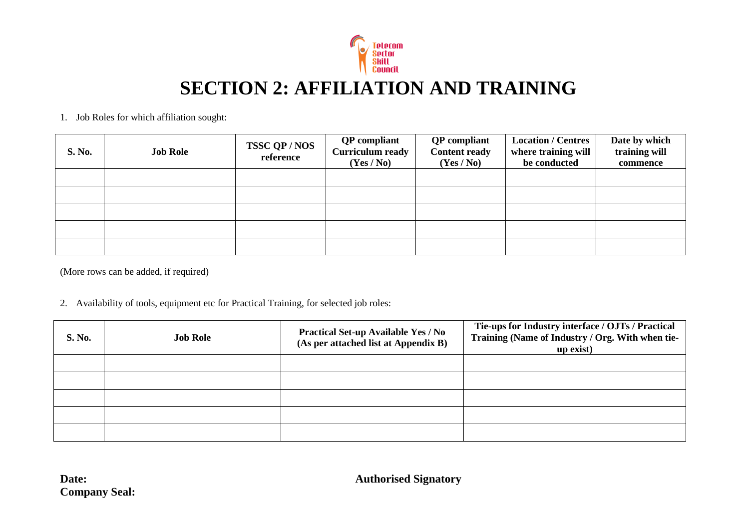

# **SECTION 2: AFFILIATION AND TRAINING**

#### 1. Job Roles for which affiliation sought:

| S. No. | <b>Job Role</b> | <b>TSSC QP/NOS</b><br>reference | <b>QP</b> compliant<br><b>Curriculum ready</b><br>(Yes / No) | <b>QP</b> compliant<br><b>Content ready</b><br>(Yes / No) | <b>Location / Centres</b><br>where training will<br>be conducted | Date by which<br>training will<br>commence |
|--------|-----------------|---------------------------------|--------------------------------------------------------------|-----------------------------------------------------------|------------------------------------------------------------------|--------------------------------------------|
|        |                 |                                 |                                                              |                                                           |                                                                  |                                            |
|        |                 |                                 |                                                              |                                                           |                                                                  |                                            |
|        |                 |                                 |                                                              |                                                           |                                                                  |                                            |
|        |                 |                                 |                                                              |                                                           |                                                                  |                                            |
|        |                 |                                 |                                                              |                                                           |                                                                  |                                            |

(More rows can be added, if required)

#### 2. Availability of tools, equipment etc for Practical Training, for selected job roles:

| S. No. | <b>Job Role</b> | <b>Practical Set-up Available Yes / No</b><br>(As per attached list at Appendix B) | Tie-ups for Industry interface / OJTs / Practical<br>Training (Name of Industry / Org. With when tie-<br>up exist) |
|--------|-----------------|------------------------------------------------------------------------------------|--------------------------------------------------------------------------------------------------------------------|
|        |                 |                                                                                    |                                                                                                                    |
|        |                 |                                                                                    |                                                                                                                    |
|        |                 |                                                                                    |                                                                                                                    |
|        |                 |                                                                                    |                                                                                                                    |
|        |                 |                                                                                    |                                                                                                                    |

**Company Seal:**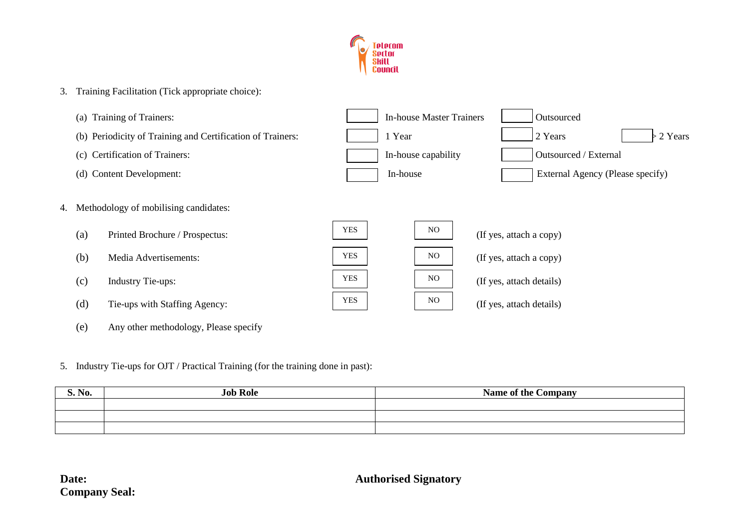

- 3. Training Facilitation (Tick appropriate choice):
	- (a) Training of Trainers:  $\parallel$  In-house Master Trainers  $\parallel$  Outsourced
	- (b) Periodicity of Training and Certification of Trainers:  $\begin{vmatrix} 1 & Year \end{vmatrix}$  2 Years  $\begin{vmatrix} 2 & Years \end{vmatrix}$  > 2 Years
	- (c) Certification of Trainers:
	-
- 4. Methodology of mobilising candidates:
	- (a) Printed Brochure / Prospectus:  $\sqrt{1}$
	- (b) Media Advertisements:  $\begin{array}{|c|c|c|}\hline Y& & & \hline Y& & & \hline Y& & & \hline Y& & & \hline Y& & & \hline Y& & & \hline Y& & & \hline Y& & & \hline Y& & & \hline Y& & & \hline Y& & & \hline Y& & & \hline Y& & & \hline Y& & & \hline Y& & & \hline Y& & & \hline Y& & & \hline Y& & & \hline Y& & & \hline Y& & & \hline Y& & & \hline Y& & & \hline Y& & & \hline Y& & & \hline Y& & & \hline Y& & &$
	- $(c)$  Industry Tie-ups:
	- $(d)$  Tie-ups with Staffing Agency:
	- (e) Any other methodology, Please specify
- 5. Industry Tie-ups for OJT / Practical Training (for the training done in past):

|     | (c) Certification of Trainers:        |            | In-house capability | <b>Outsourced / External</b>     |
|-----|---------------------------------------|------------|---------------------|----------------------------------|
|     | (d) Content Development:              |            | In-house            | External Agency (Please specify) |
|     | Methodology of mobilising candidates: |            |                     |                                  |
| (a) | Printed Brochure / Prospectus:        | <b>YES</b> | N <sub>O</sub>      | (If yes, attach a copy)          |
| (b) | Media Advertisements:                 | <b>YES</b> | N <sub>O</sub>      | (If yes, attach a copy)          |
| (c) | <b>Industry Tie-ups:</b>              | <b>YES</b> | NO                  | (If yes, attach details)         |
| (d) | Tie-uns with Staffing Agency:         | <b>YES</b> | NO.                 | (If yes, attach details)         |

| $\mathbf{v}$<br><b>S. No.</b> | <b>Job Role</b> | <b>Name of the Company</b> |
|-------------------------------|-----------------|----------------------------|
|                               |                 |                            |
|                               |                 |                            |
|                               |                 |                            |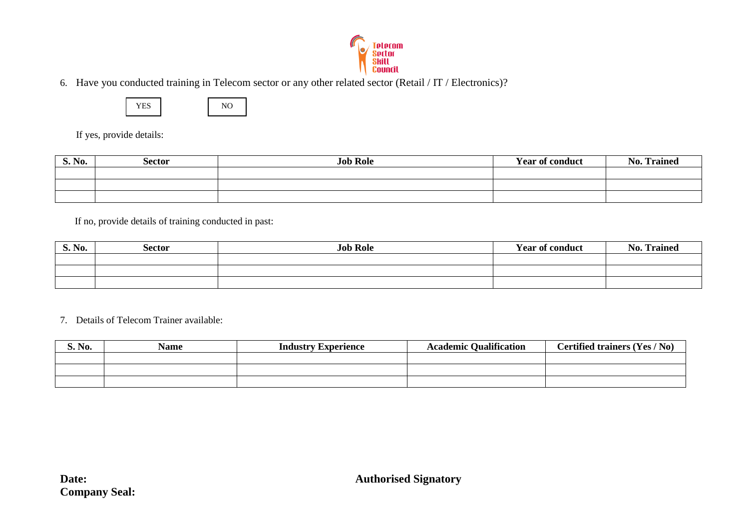

6. Have you conducted training in Telecom sector or any other related sector (Retail / IT / Electronics)?



If yes, provide details:

| S. No. | Sector | <b>Job Role</b> | <b>Year of conduct</b> | <b>Trained</b><br>No. |
|--------|--------|-----------------|------------------------|-----------------------|
|        |        |                 |                        |                       |
|        |        |                 |                        |                       |
|        |        |                 |                        |                       |

If no, provide details of training conducted in past:

| <b>S. No.</b> | Sector | <b>Job Role</b> | <b>Year of conduct</b> | <b>Trained</b><br>$\rightarrow$<br>No |
|---------------|--------|-----------------|------------------------|---------------------------------------|
|               |        |                 |                        |                                       |
|               |        |                 |                        |                                       |
|               |        |                 |                        |                                       |

7. Details of Telecom Trainer available:

| S. No. | <b>Name</b> | <b>Industry Experience</b> | <b>Academic Qualification</b> | Certified trainers (Yes / No) |
|--------|-------------|----------------------------|-------------------------------|-------------------------------|
|        |             |                            |                               |                               |
|        |             |                            |                               |                               |
|        |             |                            |                               |                               |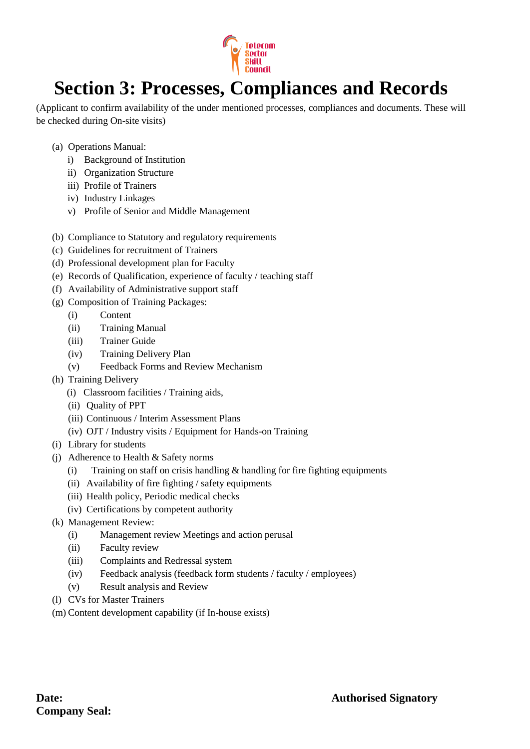

# **Section 3: Processes, Compliances and Records**

(Applicant to confirm availability of the under mentioned processes, compliances and documents. These will be checked during On-site visits)

- (a) Operations Manual:
	- i) Background of Institution
	- ii) Organization Structure
	- iii) Profile of Trainers
	- iv) Industry Linkages
	- v) Profile of Senior and Middle Management
- (b) Compliance to Statutory and regulatory requirements
- (c) Guidelines for recruitment of Trainers
- (d) Professional development plan for Faculty
- (e) Records of Qualification, experience of faculty / teaching staff
- (f) Availability of Administrative support staff
- (g) Composition of Training Packages:
	- (i) Content
	- (ii) Training Manual
	- (iii) Trainer Guide
	- (iv) Training Delivery Plan
	- (v) Feedback Forms and Review Mechanism
- (h) Training Delivery
	- (i) Classroom facilities / Training aids,
	- (ii) Quality of PPT
	- (iii) Continuous / Interim Assessment Plans
	- (iv) OJT / Industry visits / Equipment for Hands-on Training
- (i) Library for students
- (j) Adherence to Health & Safety norms
	- (i) Training on staff on crisis handling  $\&$  handling for fire fighting equipments
	- (ii) Availability of fire fighting / safety equipments
	- (iii) Health policy, Periodic medical checks
	- (iv) Certifications by competent authority
- (k) Management Review:
	- (i) Management review Meetings and action perusal
	- (ii) Faculty review
	- (iii) Complaints and Redressal system
	- (iv) Feedback analysis (feedback form students / faculty / employees)
	- (v) Result analysis and Review
- (l) CVs for Master Trainers
- (m) Content development capability (if In-house exists)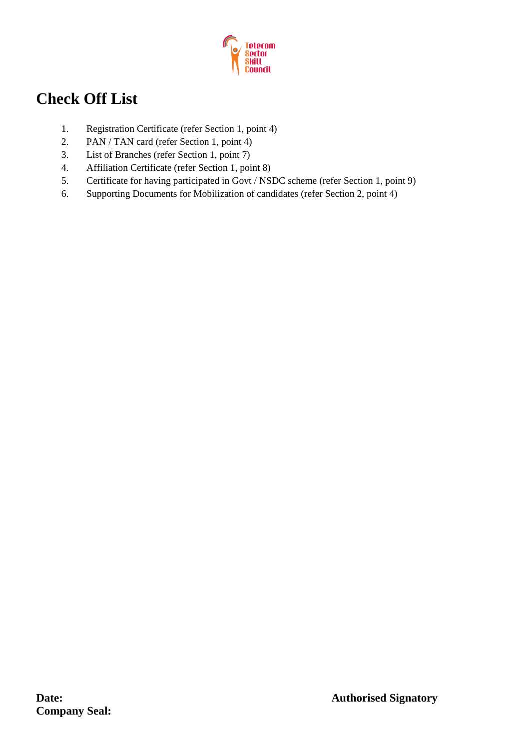

## **Check Off List**

- 1. Registration Certificate (refer Section 1, point 4)
- 2. PAN / TAN card (refer Section 1, point 4)
- 3. List of Branches (refer Section 1, point 7)
- 4. Affiliation Certificate (refer Section 1, point 8)
- 5. Certificate for having participated in Govt / NSDC scheme (refer Section 1, point 9)
- 6. Supporting Documents for Mobilization of candidates (refer Section 2, point 4)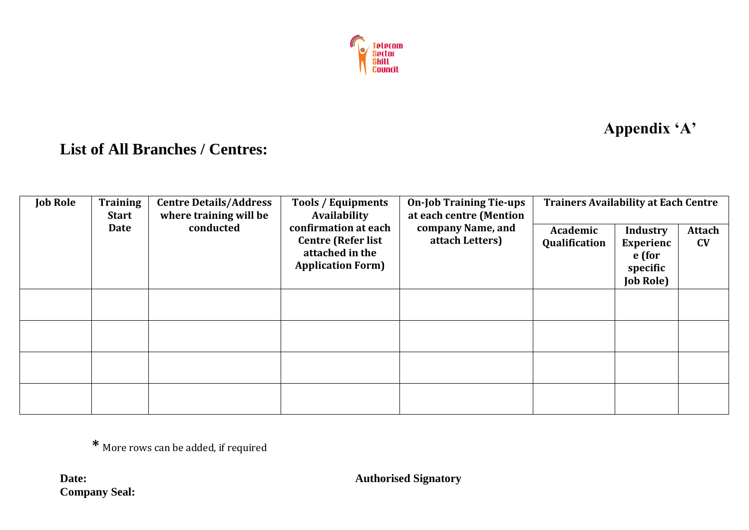

## **Appendix 'A'**

### **List of All Branches / Centres:**

| <b>Job Role</b> | <b>Training</b><br><b>Start</b> | <b>Centre Details/Address</b><br><b>Tools / Equipments</b><br>where training will be<br>Availability |                                                                                                  | <b>On-Job Training Tie-ups</b><br>at each centre (Mention | <b>Trainers Availability at Each Centre</b> |                                                                               |              |
|-----------------|---------------------------------|------------------------------------------------------------------------------------------------------|--------------------------------------------------------------------------------------------------|-----------------------------------------------------------|---------------------------------------------|-------------------------------------------------------------------------------|--------------|
|                 | <b>Date</b>                     | conducted                                                                                            | confirmation at each<br><b>Centre (Refer list</b><br>attached in the<br><b>Application Form)</b> | company Name, and<br>attach Letters)                      | Academic<br>Qualification                   | <b>Industry</b><br><b>Experienc</b><br>e (for<br>specific<br><b>Job Role)</b> | Attach<br>CV |
|                 |                                 |                                                                                                      |                                                                                                  |                                                           |                                             |                                                                               |              |
|                 |                                 |                                                                                                      |                                                                                                  |                                                           |                                             |                                                                               |              |
|                 |                                 |                                                                                                      |                                                                                                  |                                                           |                                             |                                                                               |              |
|                 |                                 |                                                                                                      |                                                                                                  |                                                           |                                             |                                                                               |              |

**\*** More rows can be added, if required

**Company Seal:**